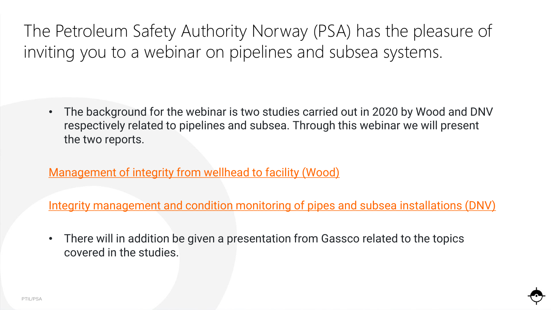The Petroleum Safety Authority Norway (PSA) has the pleasure of inviting you to a webinar on pipelines and subsea systems.

• The background for the webinar is two studies carried out in 2020 by Wood and DNV respectively related to pipelines and subsea. Through this webinar we will present the two reports.

[Management of integrity from wellhead to facility \(Wood\)](https://www.ptil.no/en/technical-competence/explore-technical-subjects/reports-from-projects/2021/management-of-integrity-from-wellhead-to-facility/)

[Integrity management and condition monitoring of pipes and subsea installations \(DNV\)](https://www.ptil.no/en/technical-competence/explore-technical-subjects/reports-from-projects/2020/integrity-management-and-condition-monitoring-of-pipes-and-subsea-installations/)

• There will in addition be given a presentation from Gassco related to the topics covered in the studies.

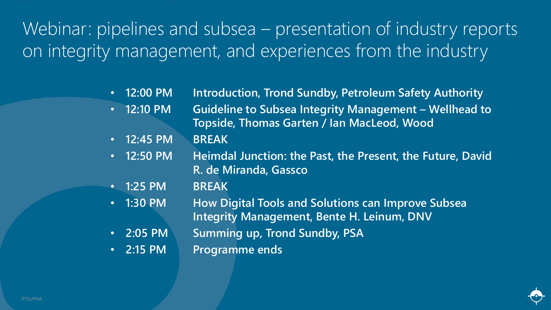Webinar: pipelines and subsea – presentation of industry reports on integrity management, and experiences from the industry

- **12:00 PM Introduction, Trond Sundby, Petroleum Safety Authority**
- **12:10 PM Guideline to Subsea Integrity Management – Wellhead to Topside, Thomas Garten / Ian MacLeod, Wood**
- **12:45 PM BREAK**
- **12:50 PM Heimdal Junction: the Past, the Present, the Future, David R. de Miranda, Gassco**
- **1:25 PM BREAK**
- **1:30 PM How Digital Tools and Solutions can Improve Subsea Integrity Management, Bente H. Leinum, DNV**
- **2:05 PM Summing up, Trond Sundby, PSA**
- **2:15 PM Programme ends**

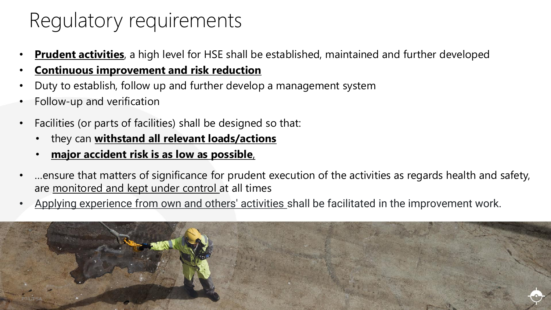## Regulatory requirements

- **Prudent activities**, a high level for HSE shall be established, maintained and further developed
- **Continuous improvement and risk reduction**
- Duty to establish, follow up and further develop a management system
- Follow-up and verification
- Facilities (or parts of facilities) shall be designed so that:
	- they can **withstand all relevant loads/actions**
	- **major accident risk is as low as possible**,
- …ensure that matters of significance for prudent execution of the activities as regards health and safety, are monitored and kept under control at all times
- Applying experience from own and others' activities shall be facilitated in the improvement work.